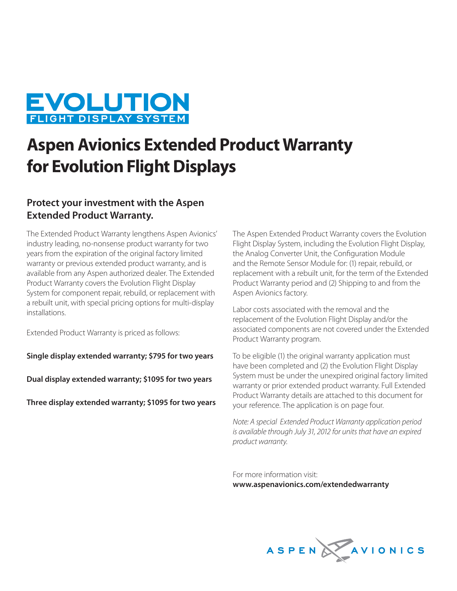

## **Aspen Avionics Extended Product Warranty for Evolution Flight Displays**

## **Protect your investment with the Aspen Extended Product Warranty.**

The Extended Product Warranty lengthens Aspen Avionics' industry leading, no-nonsense product warranty for two years from the expiration of the original factory limited warranty or previous extended product warranty, and is available from any Aspen authorized dealer. The Extended Product Warranty covers the Evolution Flight Display System for component repair, rebuild, or replacement with a rebuilt unit, with special pricing options for multi-display installations.

Extended Product Warranty is priced as follows:

**Single display extended warranty; \$795 for two years**

**Dual display extended warranty; \$1095 for two years**

**Three display extended warranty; \$1095 for two years**

The Aspen Extended Product Warranty covers the Evolution Flight Display System, including the Evolution Flight Display, the Analog Converter Unit, the Configuration Module and the Remote Sensor Module for: (1) repair, rebuild, or replacement with a rebuilt unit, for the term of the Extended Product Warranty period and (2) Shipping to and from the Aspen Avionics factory.

Labor costs associated with the removal and the replacement of the Evolution Flight Display and/or the associated components are not covered under the Extended Product Warranty program.

To be eligible (1) the original warranty application must have been completed and (2) the Evolution Flight Display System must be under the unexpired original factory limited warranty or prior extended product warranty. Full Extended Product Warranty details are attached to this document for your reference. The application is on page four.

Note: A special Extended Product Warranty application period is available through July 31, 2012 for units that have an expired product warranty.

For more information visit: **www.aspenavionics.com/extendedwarranty** 

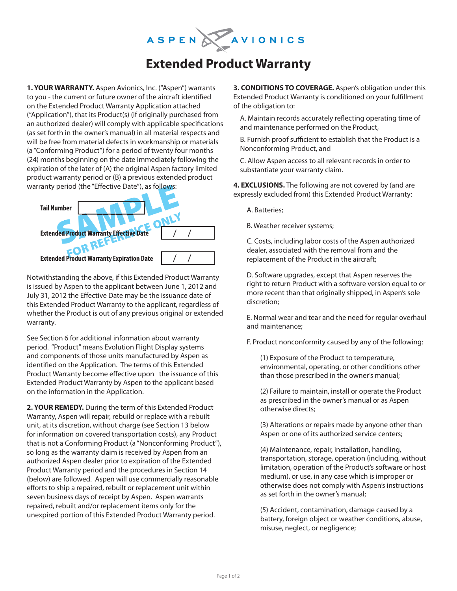# ASPENAZAVIONICS

## **Extended Product Warranty**

**1. YOUR WARRANTY.** Aspen Avionics, Inc. ("Aspen") warrants to you - the current or future owner of the aircraft identified on the Extended Product Warranty Application attached ("Application"), that its Product(s) (if originally purchased from an authorized dealer) will comply with applicable specifications (as set forth in the owner's manual) in all material respects and will be free from material defects in workmanship or materials (a "Conforming Product") for a period of twenty four months (24) months beginning on the date immediately following the expiration of the later of (A) the original Aspen factory limited product warranty period or (B) a previous extended product warranty period (the "Effective Date"), as follows:



Notwithstanding the above, if this Extended Product Warranty is issued by Aspen to the applicant between June 1, 2012 and July 31, 2012 the Effective Date may be the issuance date of this Extended Product Warranty to the applicant, regardless of whether the Product is out of any previous original or extended warranty.

See Section 6 for additional information about warranty period. "Product" means Evolution Flight Display systems and components of those units manufactured by Aspen as identified on the Application. The terms of this Extended Product Warranty become effective upon the issuance of this Extended Product Warranty by Aspen to the applicant based on the information in the Application.

**2. YOUR REMEDY.** During the term of this Extended Product Warranty, Aspen will repair, rebuild or replace with a rebuilt unit, at its discretion, without charge (see Section 13 below for information on covered transportation costs), any Product that is not a Conforming Product (a "Nonconforming Product"), so long as the warranty claim is received by Aspen from an authorized Aspen dealer prior to expiration of the Extended Product Warranty period and the procedures in Section 14 (below) are followed. Aspen will use commercially reasonable efforts to ship a repaired, rebuilt or replacement unit within seven business days of receipt by Aspen. Aspen warrants repaired, rebuilt and/or replacement items only for the unexpired portion of this Extended Product Warranty period.

**3. CONDITIONS TO COVERAGE.** Aspen's obligation under this Extended Product Warranty is conditioned on your fulfillment of the obligation to:

A. Maintain records accurately reflecting operating time of and maintenance performed on the Product,

B. Furnish proof sufficient to establish that the Product is a Nonconforming Product, and

C. Allow Aspen access to all relevant records in order to substantiate your warranty claim.

**4. EXCLUSIONS.** The following are not covered by (and are expressly excluded from) this Extended Product Warranty:

A. Batteries;

B. Weather receiver systems;

C. Costs, including labor costs of the Aspen authorized dealer, associated with the removal from and the replacement of the Product in the aircraft;

D. Software upgrades, except that Aspen reserves the right to return Product with a software version equal to or more recent than that originally shipped, in Aspen's sole discretion;

E. Normal wear and tear and the need for regular overhaul and maintenance;

F. Product nonconformity caused by any of the following:

(1) Exposure of the Product to temperature, environmental, operating, or other conditions other than those prescribed in the owner's manual;

(2) Failure to maintain, install or operate the Product as prescribed in the owner's manual or as Aspen otherwise directs;

(3) Alterations or repairs made by anyone other than Aspen or one of its authorized service centers;

(4) Maintenance, repair, installation, handling, transportation, storage, operation (including, without limitation, operation of the Product's software or host medium), or use, in any case which is improper or otherwise does not comply with Aspen's instructions as set forth in the owner's manual;

(5) Accident, contamination, damage caused by a battery, foreign object or weather conditions, abuse, misuse, neglect, or negligence;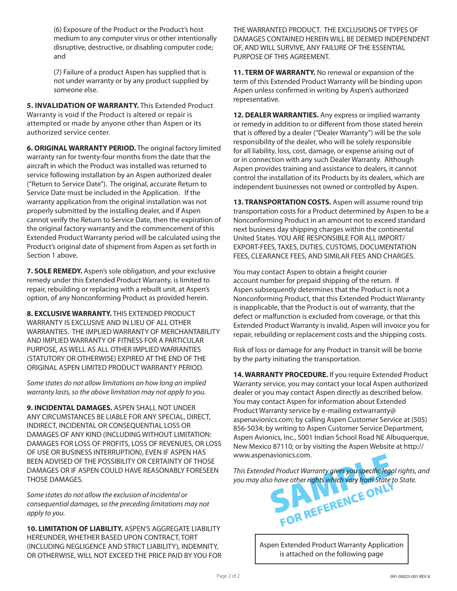(6) Exposure of the Product or the Product's host medium to any computer virus or other intentionally disruptive, destructive, or disabling computer code; and

(7) Failure of a product Aspen has supplied that is not under warranty or by any product supplied by someone else.

**5. INVALIDATION OF WARRANTY.** This Extended Product Warranty is void if the Product is altered or repair is attempted or made by anyone other than Aspen or its authorized service center.

**6. ORIGINAL WARRANTY PERIOD.** The original factory limited warranty ran for twenty-four months from the date that the aircraft in which the Product was installed was returned to service following installation by an Aspen authorized dealer ("Return to Service Date"). The original, accurate Return to Service Date must be included in the Application. If the warranty application from the original installation was not properly submitted by the installing dealer, and if Aspen cannot verify the Return to Service Date, then the expiration of the original factory warranty and the commencement of this Extended Product Warranty period will be calculated using the Product's original date of shipment from Aspen as set forth in Section 1 above.

**7. SOLE REMEDY.** Aspen's sole obligation, and your exclusive remedy under this Extended Product Warranty, is limited to repair, rebuilding or replacing with a rebuilt unit, at Aspen's option, of any Nonconforming Product as provided herein.

**8. EXCLUSIVE WARRANTY.** THIS EXTENDED PRODUCT WARRANTY IS EXCLUSIVE AND IN LIEU OF ALL OTHER WARRANTIES. THE IMPLIED WARRANTY OF MERCHANTABILITY AND IMPLIED WARRANTY OF FITNESS FOR A PARTICULAR PURPOSE, AS WELL AS ALL OTHER IMPLIED WARRANTIES (STATUTORY OR OTHERWISE) EXPIRED AT THE END OF THE ORIGINAL ASPEN LIMITED PRODUCT WARRANTY PERIOD.

Some states do not allow limitations on how long an implied warranty lasts, so the above limitation may not apply to you.

**9. INCIDENTAL DAMAGES.** ASPEN SHALL NOT UNDER ANY CIRCUMSTANCES BE LIABLE FOR ANY SPECIAL, DIRECT, INDIRECT, INCIDENTAL OR CONSEQUENTIAL LOSS OR DAMAGES OF ANY KIND (INCLUDING WITHOUT LIMITATION: DAMAGES FOR LOSS OF PROFITS, LOSS OF REVENUES, OR LOSS OF USE OR BUSINESS INTERRUPTION), EVEN IF ASPEN HAS BEEN ADVISED OF THE POSSIBILITY OR CERTAINTY OF THOSE DAMAGES OR IF ASPEN COULD HAVE REASONABLY FORESEEN THOSE DAMAGES.

Some states do not allow the exclusion of incidental or consequential damages, so the preceding limitations may not apply to you.

**10. LIMITATION OF LIABILITY.** ASPEN'S AGGREGATE LIABILITY HEREUNDER, WHETHER BASED UPON CONTRACT, TORT (INCLUDING NEGLIGENCE AND STRICT LIABILITY), INDEMNITY, OR OTHERWISE, WILL NOT EXCEED THE PRICE PAID BY YOU FOR THE WARRANTED PRODUCT. THE EXCLUSIONS OF TYPES OF DAMAGES CONTAINED HEREIN WILL BE DEEMED INDEPENDENT OF, AND WILL SURVIVE, ANY FAILURE OF THE ESSENTIAL PURPOSE OF THIS AGREEMENT.

**11. TERM OF WARRANTY.** No renewal or expansion of the term of this Extended Product Warranty will be binding upon Aspen unless confirmed in writing by Aspen's authorized representative.

**12. DEALER WARRANTIES.** Any express or implied warranty or remedy in addition to or different from those stated herein that is offered by a dealer ("Dealer Warranty") will be the sole responsibility of the dealer, who will be solely responsible for all liability, loss, cost, damage, or expense arising out of or in connection with any such Dealer Warranty. Although Aspen provides training and assistance to dealers, it cannot control the installation of its Products by its dealers, which are independent businesses not owned or controlled by Aspen.

13. TRANSPORTATION COSTS. Aspen will assume round trip transportation costs for a Product determined by Aspen to be a Nonconforming Product in an amount not to exceed standard next business day shipping charges within the continental United States. YOU ARE RESPONSIBLE FOR ALL IMPORT/ EXPORT-FEES, TAXES, DUTIES, CUSTOMS, DOCUMENTATION FEES, CLEARANCE FEES, AND SIMILAR FEES AND CHARGES.

You may contact Aspen to obtain a freight courier account number for prepaid shipping of the return. If Aspen subsequently determines that the Product is not a Nonconforming Product, that this Extended Product Warranty is inapplicable, that the Product is out of warranty, that the defect or malfunction is excluded from coverage, or that this Extended Product Warranty is invalid, Aspen will invoice you for repair, rebuilding or replacement costs and the shipping costs.

Risk of loss or damage for any Product in transit will be borne by the party initiating the transportation.

**14. WARRANTY PROCEDURE.** If you require Extended Product Warranty service, you may contact your local Aspen authorized dealer or you may contact Aspen directly as described below. You may contact Aspen for information about Extended Product Warranty service by e-mailing extwarranty@ aspenavionics.com; by calling Aspen Customer Service at (505) 856-5034; by writing to Aspen Customer Service Department, Aspen Avionics, Inc., 5001 Indian School Road NE Albuquerque, New Mexico 87110; or by visiting the Aspen Website at http:// www.aspenavionics.com.

This Extended Product Warranty gives you specific legal rights, and you may also have other rights which vary from State to State.



Aspen Extended Product Warranty Application is attached on the following page